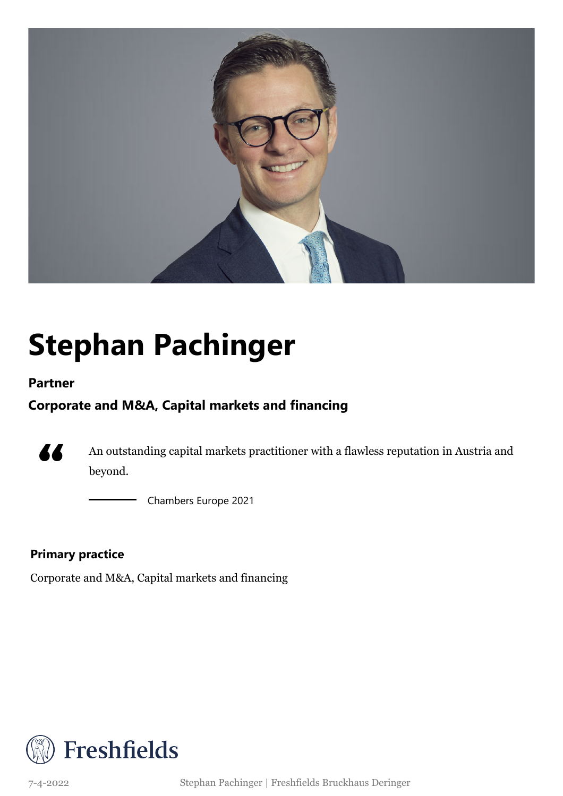

## **Stephan Pachinger**

### **Partner**

### **Corporate and M&A, Capital markets and financing**



An outstanding capital markets practitioner with a flawless reputation in Austria and beyond.

Chambers Europe 2021

### **Primary practice**

Corporate and M&A, Capital markets and financing



7-4-2022 Stephan Pachinger | Freshfields Bruckhaus Deringer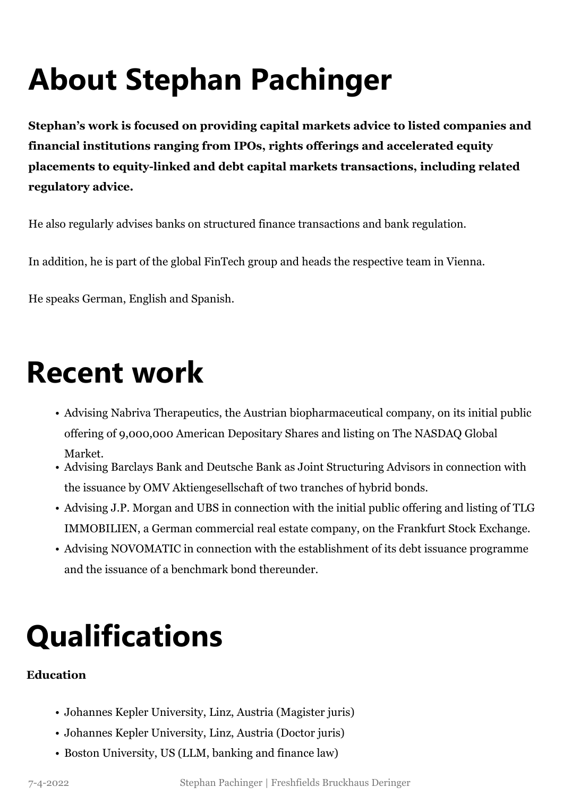# **About Stephan Pachinger**

**Stephan's work is focused on providing capital markets advice to listed companies and financial institutions ranging from IPOs, rights offerings and accelerated equity placements to equity-linked and debt capital markets transactions, including related regulatory advice.**

He also regularly advises banks on structured finance transactions and bank regulation.

In addition, he is part of the global FinTech group and heads the respective team in Vienna.

He speaks German, English and Spanish.

### **Recent work**

- Advising Nabriva Therapeutics, the Austrian biopharmaceutical company, on its initial public offering of 9,000,000 American Depositary Shares and listing on The NASDAQ Global Market.
- Advising Barclays Bank and Deutsche Bank as Joint Structuring Advisors in connection with the issuance by OMV Aktiengesellschaft of two tranches of hybrid bonds.
- Advising J.P. Morgan and UBS in connection with the initial public offering and listing of TLG IMMOBILIEN, a German commercial real estate company, on the Frankfurt Stock Exchange.
- Advising NOVOMATIC in connection with the establishment of its debt issuance programme and the issuance of a benchmark bond thereunder.

### **Qualifications**

#### **Education**

- Johannes Kepler University, Linz, Austria (Magister juris)
- Johannes Kepler University, Linz, Austria (Doctor juris)
- Boston University, US (LLM, banking and finance law)